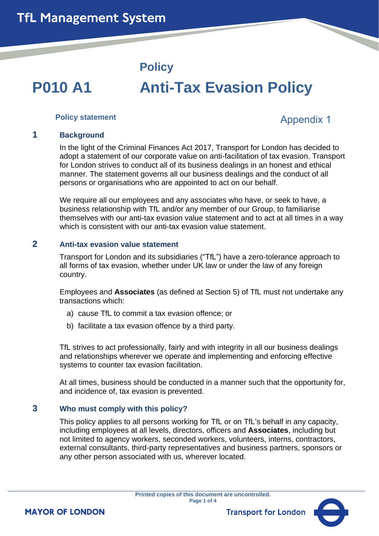## **Policy**

# **P010 A1 Anti-Tax Evasion Policy**

#### **Policy statement**

# Appendix 1

#### **1 Background**

In the light of the Criminal Finances Act 2017, Transport for London has decided to adopt a statement of our corporate value on anti-facilitation of tax evasion. Transport for London strives to conduct all of its business dealings in an honest and ethical manner. The statement governs all our business dealings and the conduct of all persons or organisations who are appointed to act on our behalf.

We require all our employees and any associates who have, or seek to have, a business relationship with TfL and/or any member of our Group, to familiarise themselves with our anti-tax evasion value statement and to act at all times in a way which is consistent with our anti-tax evasion value statement.

#### **2 Anti-tax evasion value statement**

Transport for London and its subsidiaries ("TfL") have a zero-tolerance approach to all forms of tax evasion, whether under UK law or under the law of any foreign country.

Employees and **Associates** (as defined at Section 5) of TfL must not undertake any transactions which:

- a) cause TfL to commit a tax evasion offence; or
- b) facilitate a tax evasion offence by a third party.

TfL strives to act professionally, fairly and with integrity in all our business dealings and relationships wherever we operate and implementing and enforcing effective systems to counter tax evasion facilitation.

At all times, business should be conducted in a manner such that the opportunity for, and incidence of, tax evasion is prevented.

#### **3 Who must comply with this policy?**

This policy applies to all persons working for TfL or on TfL's behalf in any capacity, including employees at all levels, directors, officers and **Associates**, including but not limited to agency workers, seconded workers, volunteers, interns, contractors, external consultants, third-party representatives and business partners, sponsors or any other person associated with us, wherever located.

**Transport for London** 



**MAYOR OF LONDON**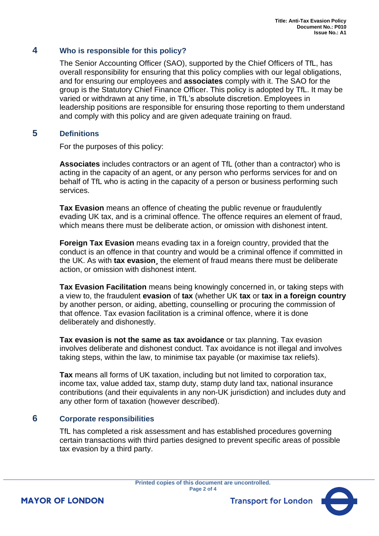#### **4 Who is responsible for this policy?**

The Senior Accounting Officer (SAO), supported by the Chief Officers of TfL, has overall responsibility for ensuring that this policy complies with our legal obligations, and for ensuring our employees and **associates** comply with it. The SAO for the group is the Statutory Chief Finance Officer. This policy is adopted by TfL. It may be varied or withdrawn at any time, in TfL's absolute discretion. Employees in leadership positions are responsible for ensuring those reporting to them understand and comply with this policy and are given adequate training on fraud.

#### **5 Definitions**

For the purposes of this policy:

**Associates** includes contractors or an agent of TfL (other than a contractor) who is acting in the capacity of an agent, or any person who performs services for and on behalf of TfL who is acting in the capacity of a person or business performing such services.

**Tax Evasion** means an offence of cheating the public revenue or fraudulently evading UK tax, and is a criminal offence. The offence requires an element of fraud, which means there must be deliberate action, or omission with dishonest intent.

**Foreign Tax Evasion** means evading tax in a foreign country, provided that the conduct is an offence in that country and would be a criminal offence if committed in the UK. As with **tax evasion¸** the element of fraud means there must be deliberate action, or omission with dishonest intent.

**Tax Evasion Facilitation** means being knowingly concerned in, or taking steps with a view to, the fraudulent **evasion** of **tax** (whether UK **tax** or **tax in a foreign country** by another person, or aiding, abetting, counselling or procuring the commission of that offence. Tax evasion facilitation is a criminal offence, where it is done deliberately and dishonestly.

**Tax evasion is not the same as tax avoidance** or tax planning. Tax evasion involves deliberate and dishonest conduct. Tax avoidance is not illegal and involves taking steps, within the law, to minimise tax payable (or maximise tax reliefs).

**Tax** means all forms of UK taxation, including but not limited to corporation tax, income tax, value added tax, stamp duty, stamp duty land tax, national insurance contributions (and their equivalents in any non-UK jurisdiction) and includes duty and any other form of taxation (however described).

#### **6 Corporate responsibilities**

TfL has completed a risk assessment and has established procedures governing certain transactions with third parties designed to prevent specific areas of possible tax evasion by a third party.

> **Printed copies of this document are uncontrolled. Page 2 of 4**



**MAYOR OF LONDON**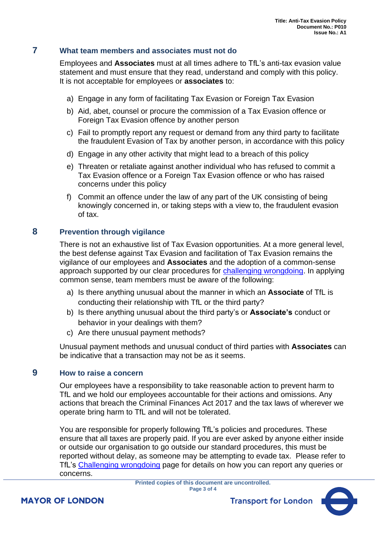### **7 What team members and associates must not do**

Employees and **Associates** must at all times adhere to TfL's anti-tax evasion value statement and must ensure that they read, understand and comply with this policy. It is not acceptable for employees or **associates** to:

- a) Engage in any form of facilitating Tax Evasion or Foreign Tax Evasion
- b) Aid, abet, counsel or procure the commission of a Tax Evasion offence or Foreign Tax Evasion offence by another person
- c) Fail to promptly report any request or demand from any third party to facilitate the fraudulent Evasion of Tax by another person, in accordance with this policy
- d) Engage in any other activity that might lead to a breach of this policy
- e) Threaten or retaliate against another individual who has refused to commit a Tax Evasion offence or a Foreign Tax Evasion offence or who has raised concerns under this policy
- f) Commit an offence under the law of any part of the UK consisting of being knowingly concerned in, or taking steps with a view to, the fraudulent evasion of tax.

#### **8 Prevention through vigilance**

There is not an exhaustive list of Tax Evasion opportunities. At a more general level, the best defense against Tax Evasion and facilitation of Tax Evasion remains the vigilance of our employees and **Associates** and the adoption of a common-sense approach supported by our clear procedures for [challenging wrongdoing.](https://transportforlondon.sharepoint.com/sites/Instructions-and-guidance-governance/SitePages/Challenging-wrongdoing.aspx) In applying common sense, team members must be aware of the following:

- a) Is there anything unusual about the manner in which an **Associate** of TfL is conducting their relationship with TfL or the third party?
- b) Is there anything unusual about the third party's or **Associate's** conduct or behavior in your dealings with them?
- c) Are there unusual payment methods?

Unusual payment methods and unusual conduct of third parties with **Associates** can be indicative that a transaction may not be as it seems.

#### **9 How to raise a concern**

Our employees have a responsibility to take reasonable action to prevent harm to TfL and we hold our employees accountable for their actions and omissions. Any actions that breach the Criminal Finances Act 2017 and the tax laws of wherever we operate bring harm to TfL and will not be tolerated.

You are responsible for properly following TfL's policies and procedures. These ensure that all taxes are properly paid. If you are ever asked by anyone either inside or outside our organisation to go outside our standard procedures, this must be reported without delay, as someone may be attempting to evade tax. Please refer to TfL's [Challenging wrongdoing](https://transportforlondon.sharepoint.com/sites/Instructions-and-guidance-governance/SitePages/Challenging-wrongdoing.aspx) page for details on how you can report any queries or concerns.



**Transport for London**